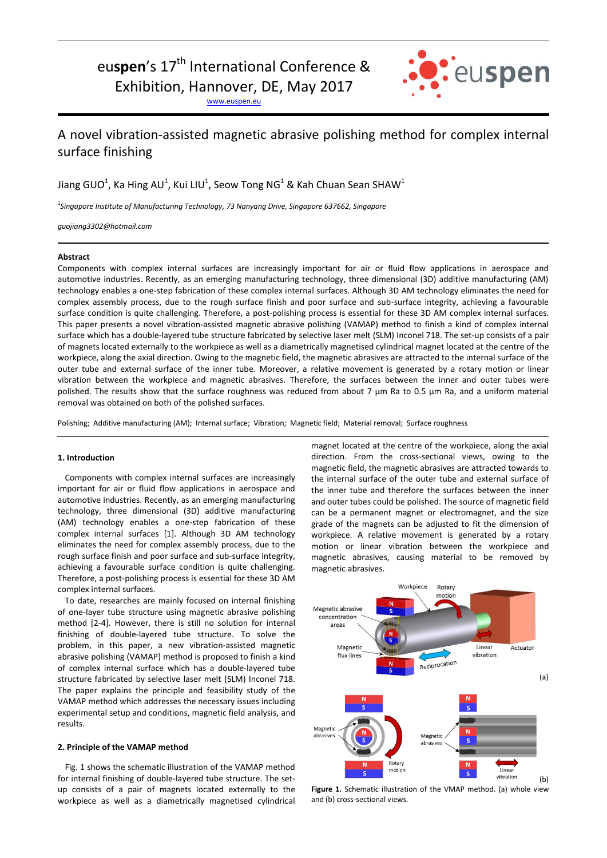# eu**spen**'s 17<sup>th</sup> International Conference &

Exhibition, Hannover, DE, May 2017

[www.euspen.eu](http://www.euspen.eu/)



## A novel vibration-assisted magnetic abrasive polishing method for complex internal surface finishing

Jiang GUO $^1$ , Ka Hing AU $^1$ , Kui LIU $^1$ , Seow Tong NG $^1$  & Kah Chuan Sean SHAW $^1$ 

1 *Singapore Institute of Manufacturing Technology, 73 Nanyang Drive, Singapore 637662, Singapore*

*guojiang3302@hotmail.com*

#### **Abstract**

Components with complex internal surfaces are increasingly important for air or fluid flow applications in aerospace and automotive industries. Recently, as an emerging manufacturing technology, three dimensional (3D) additive manufacturing (AM) technology enables a one-step fabrication of these complex internal surfaces. Although 3D AM technology eliminates the need for complex assembly process, due to the rough surface finish and poor surface and sub-surface integrity, achieving a favourable surface condition is quite challenging. Therefore, a post-polishing process is essential for these 3D AM complex internal surfaces. This paper presents a novel vibration-assisted magnetic abrasive polishing (VAMAP) method to finish a kind of complex internal surface which has a double-layered tube structure fabricated by selective laser melt (SLM) Inconel 718. The set-up consists of a pair of magnets located externally to the workpiece as well as a diametrically magnetised cylindrical magnet located at the centre of the workpiece, along the axial direction. Owing to the magnetic field, the magnetic abrasives are attracted to the internal surface of the outer tube and external surface of the inner tube. Moreover, a relative movement is generated by a rotary motion or linear vibration between the workpiece and magnetic abrasives. Therefore, the surfaces between the inner and outer tubes were polished. The results show that the surface roughness was reduced from about 7 µm Ra to 0.5 µm Ra, and a uniform material removal was obtained on both of the polished surfaces.

Polishing; Additive manufacturing (AM); Internal surface; Vibration; Magnetic field; Material removal; Surface roughness

#### **1. Introduction**

Components with complex internal surfaces are increasingly important for air or fluid flow applications in aerospace and automotive industries. Recently, as an emerging manufacturing technology, three dimensional (3D) additive manufacturing (AM) technology enables a one-step fabrication of these complex internal surfaces [1]. Although 3D AM technology eliminates the need for complex assembly process, due to the rough surface finish and poor surface and sub-surface integrity, achieving a favourable surface condition is quite challenging. Therefore, a post-polishing process is essential for these 3D AM complex internal surfaces.

To date, researches are mainly focused on internal finishing of one-layer tube structure using magnetic abrasive polishing method [2-4]. However, there is still no solution for internal finishing of double-layered tube structure. To solve the problem, in this paper, a new vibration-assisted magnetic abrasive polishing (VAMAP) method is proposed to finish a kind of complex internal surface which has a double-layered tube structure fabricated by selective laser melt (SLM) Inconel 718. The paper explains the principle and feasibility study of the VAMAP method which addresses the necessary issues including experimental setup and conditions, magnetic field analysis, and results.

### **2. Principle of the VAMAP method**

Fig. 1 shows the schematic illustration of the VAMAP method for internal finishing of double-layered tube structure. The setup consists of a pair of magnets located externally to the workpiece as well as a diametrically magnetised cylindrical magnet located at the centre of the workpiece, along the axial direction. From the cross-sectional views, owing to the magnetic field, the magnetic abrasives are attracted towards to the internal surface of the outer tube and external surface of the inner tube and therefore the surfaces between the inner and outer tubes could be polished. The source of magnetic field can be a permanent magnet or electromagnet, and the size grade of the magnets can be adjusted to fit the dimension of workpiece. A relative movement is generated by a rotary motion or linear vibration between the workpiece and magnetic abrasives, causing material to be removed by magnetic abrasives.



**Figure 1.** Schematic illustration of the VMAP method. (a) whole view and (b) cross-sectional views.